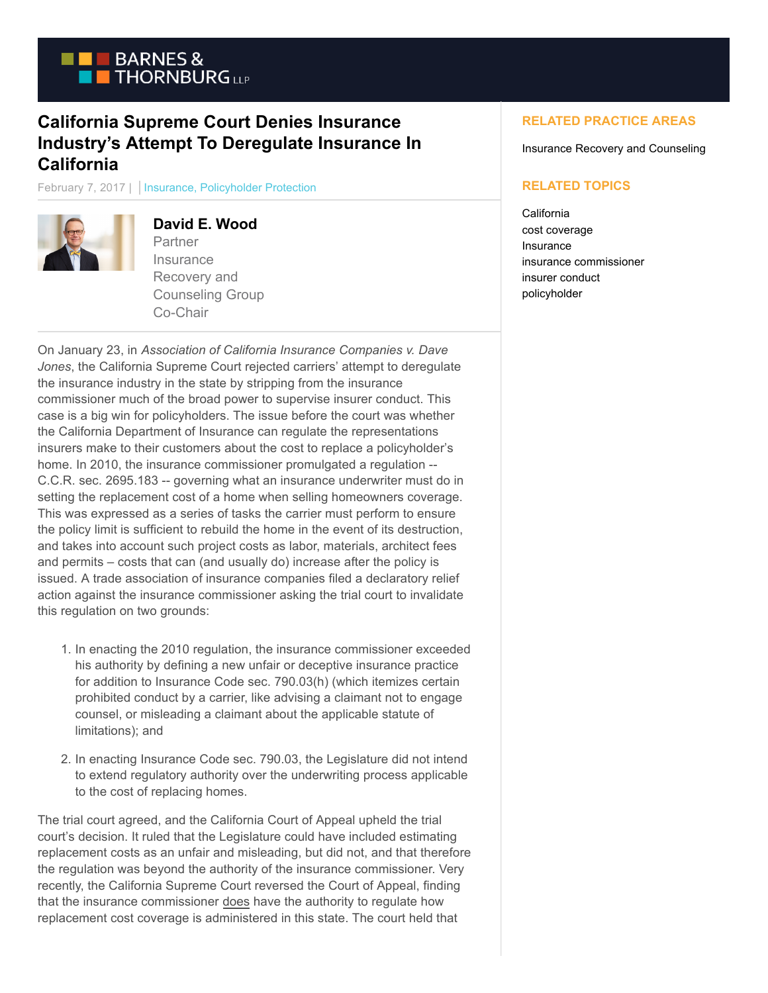

## **California Supreme Court Denies Insurance Industry's Attempt To Deregulate Insurance In California**

February 7, 2017 | Insurance, Policyholder Protection



## **David E. Wood**

**Partner Insurance** Recovery and Counseling Group Co-Chair

On January 23, in *Association of California Insurance Companies v. Dave Jones*, the California Supreme Court rejected carriers' attempt to deregulate the insurance industry in the state by stripping from the insurance commissioner much of the broad power to supervise insurer conduct. This case is a big win for policyholders. The issue before the court was whether the California Department of Insurance can regulate the representations insurers make to their customers about the cost to replace a policyholder's home. In 2010, the insurance commissioner promulgated a regulation -- C.C.R. sec. 2695.183 -- governing what an insurance underwriter must do in setting the replacement cost of a home when selling homeowners coverage. This was expressed as a series of tasks the carrier must perform to ensure the policy limit is sufficient to rebuild the home in the event of its destruction, and takes into account such project costs as labor, materials, architect fees and permits – costs that can (and usually do) increase after the policy is issued. A trade association of insurance companies filed a declaratory relief action against the insurance commissioner asking the trial court to invalidate this regulation on two grounds:

- 1. In enacting the 2010 regulation, the insurance commissioner exceeded his authority by defining a new unfair or deceptive insurance practice for addition to Insurance Code sec. 790.03(h) (which itemizes certain prohibited conduct by a carrier, like advising a claimant not to engage counsel, or misleading a claimant about the applicable statute of limitations); and
- 2. In enacting Insurance Code sec. 790.03, the Legislature did not intend to extend regulatory authority over the underwriting process applicable to the cost of replacing homes.

The trial court agreed, and the California Court of Appeal upheld the trial court's decision. It ruled that the Legislature could have included estimating replacement costs as an unfair and misleading, but did not, and that therefore the regulation was beyond the authority of the insurance commissioner. Very recently, the California Supreme Court reversed the Court of Appeal, finding that the insurance commissioner does have the authority to regulate how replacement cost coverage is administered in this state. The court held that

## **RELATED PRACTICE AREAS**

Insurance Recovery and Counseling

## **RELATED TOPICS**

California cost coverage Insurance insurance commissioner insurer conduct policyholder